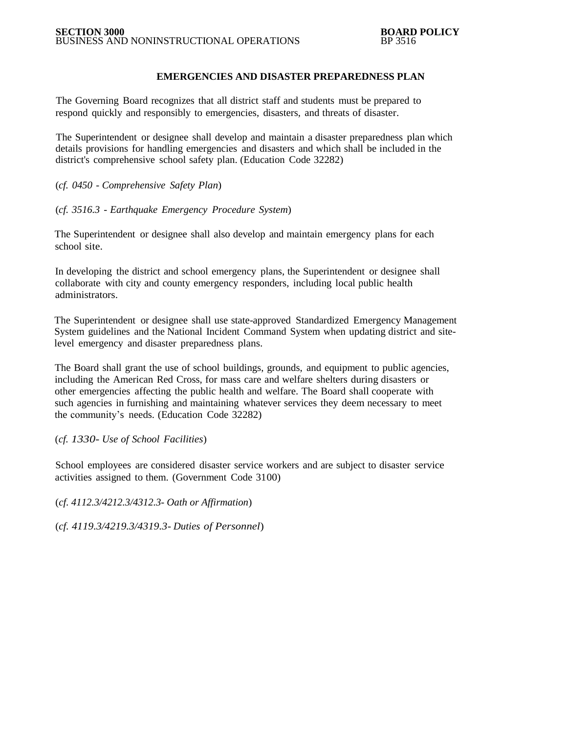## **EMERGENCIES AND DISASTER PREPAREDNESS PLAN**

The Governing Board recognizes that all district staff and students must be prepared to respond quickly and responsibly to emergencies, disasters, and threats of disaster.

The Superintendent or designee shall develop and maintain a disaster preparedness plan which details provisions for handling emergencies and disasters and which shall be included in the district's comprehensive school safety plan. (Education Code 32282)

(*cf. 0450 - Comprehensive Safety Plan*)

(*cf. 3516.3 - Earthquake Emergency Procedure System*)

The Superintendent or designee shall also develop and maintain emergency plans for each school site.

In developing the district and school emergency plans, the Superintendent or designee shall collaborate with city and county emergency responders, including local public health administrators.

The Superintendent or designee shall use state-approved Standardized Emergency Management System guidelines and the National Incident Command System when updating district and sitelevel emergency and disaster preparedness plans.

The Board shall grant the use of school buildings, grounds, and equipment to public agencies, including the American Red Cross, for mass care and welfare shelters during disasters or other emergencies affecting the public health and welfare. The Board shall cooperate with such agencies in furnishing and maintaining whatever services they deem necessary to meet the community's needs. (Education Code 32282)

#### (*cf. 1330- Use of School Facilities*)

School employees are considered disaster service workers and are subject to disaster service activities assigned to them. (Government Code 3100)

(*cf. 4112.3/4212.3/4312.3- Oath or Affirmation*)

(*cf. 4119.3/4219.3/4319.3- Duties of Personnel*)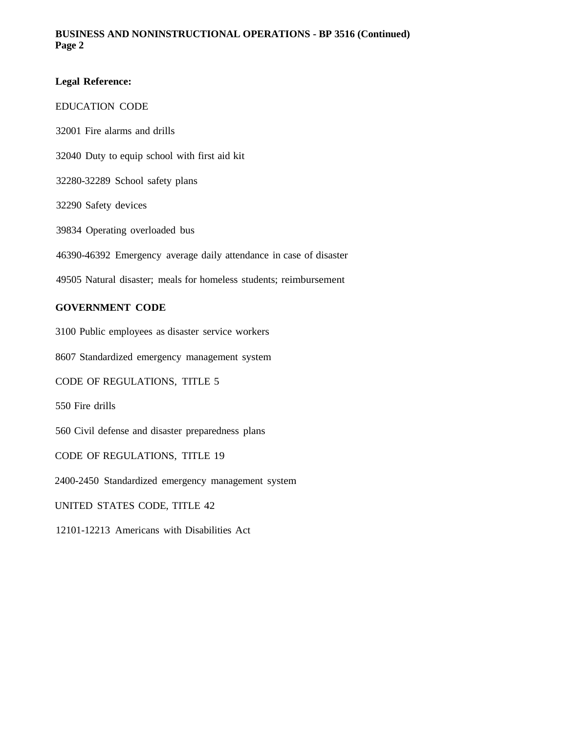## **BUSINESS AND NONINSTRUCTIONAL OPERATIONS - BP 3516 (Continued) Page 2**

## **Legal Reference:**

### EDUCATION CODE

 Fire alarms and drills Duty to equip school with first aid kit 32280-32289 School safety plans Safety devices Operating overloaded bus 46390-46392 Emergency average daily attendance in case of disaster Natural disaster; meals for homeless students; reimbursement

# **GOVERNMENT CODE**

3100 Public employees as disaster service workers

8607 Standardized emergency management system

CODE OF REGULATIONS, TITLE 5

550 Fire drills

560 Civil defense and disaster preparedness plans

CODE OF REGULATIONS, TITLE 19

2400-2450 Standardized emergency management system

UNITED STATES CODE, TITLE 42

12101-12213 Americans with Disabilities Act